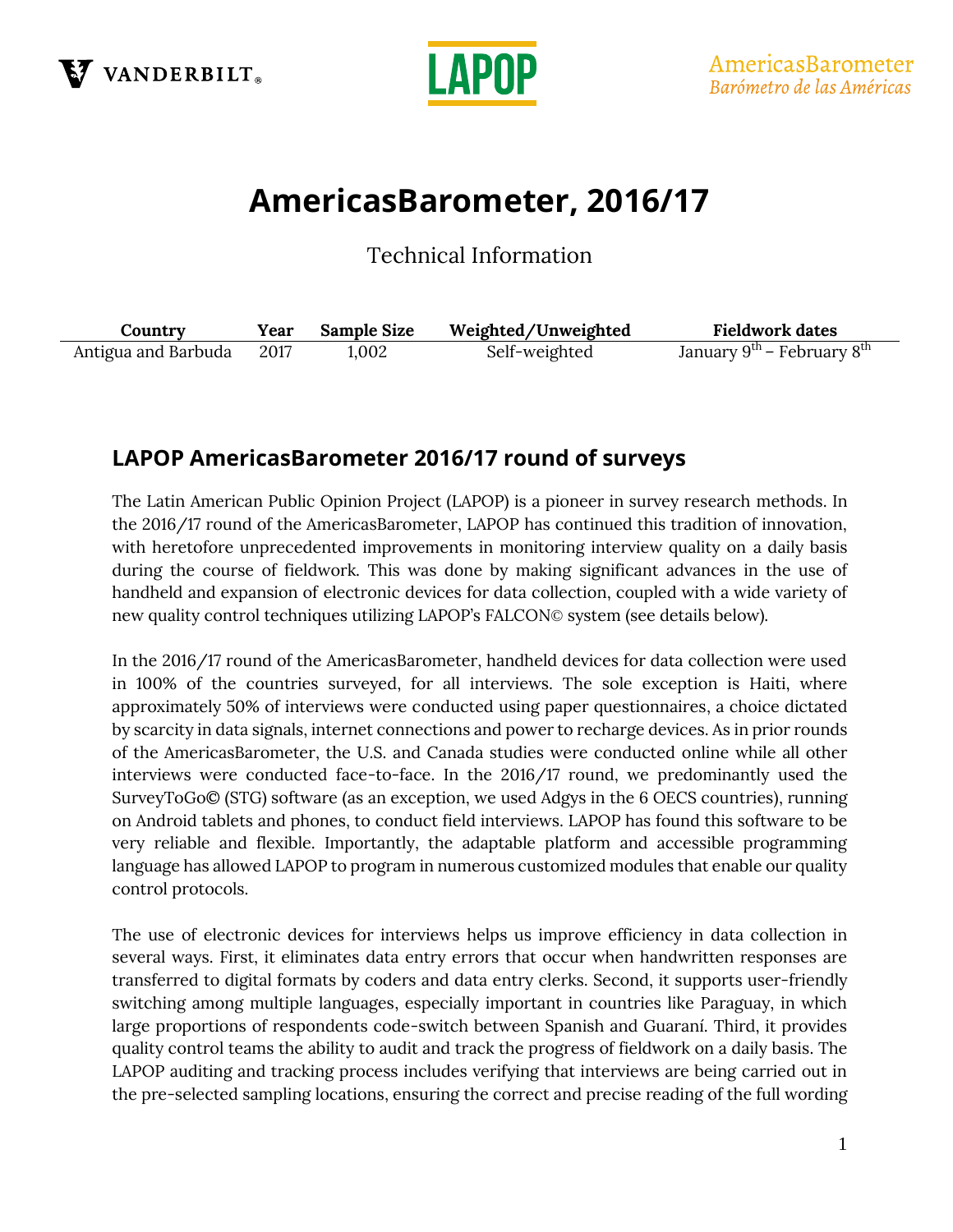



# **AmericasBarometer, 2016/17**

Technical Information

| Country             | Year | <b>Sample Size</b> | Weighted/Unweighted | <b>Fieldwork dates</b>                             |
|---------------------|------|--------------------|---------------------|----------------------------------------------------|
| Antigua and Barbuda | 2017 | 1.002              | Self-weighted       | January 9 <sup>th</sup> – February 8 <sup>th</sup> |

## **LAPOP AmericasBarometer 2016/17 round of surveys**

The Latin American Public Opinion Project (LAPOP) is a pioneer in survey research methods. In the 2016/17 round of the AmericasBarometer, LAPOP has continued this tradition of innovation, with heretofore unprecedented improvements in monitoring interview quality on a daily basis during the course of fieldwork. This was done by making significant advances in the use of handheld and expansion of electronic devices for data collection, coupled with a wide variety of new quality control techniques utilizing LAPOP's FALCON© system (see details below).

In the 2016/17 round of the AmericasBarometer, handheld devices for data collection were used in 100% of the countries surveyed, for all interviews. The sole exception is Haiti, where approximately 50% of interviews were conducted using paper questionnaires, a choice dictated by scarcity in data signals, internet connections and power to recharge devices. As in prior rounds of the AmericasBarometer, the U.S. and Canada studies were conducted online while all other interviews were conducted face-to-face. In the 2016/17 round, we predominantly used the SurveyToGo© (STG) software (as an exception, we used Adgys in the 6 OECS countries), running on Android tablets and phones, to conduct field interviews. LAPOP has found this software to be very reliable and flexible. Importantly, the adaptable platform and accessible programming language has allowed LAPOP to program in numerous customized modules that enable our quality control protocols.

The use of electronic devices for interviews helps us improve efficiency in data collection in several ways. First, it eliminates data entry errors that occur when handwritten responses are transferred to digital formats by coders and data entry clerks. Second, it supports user-friendly switching among multiple languages, especially important in countries like Paraguay, in which large proportions of respondents code-switch between Spanish and Guaraní. Third, it provides quality control teams the ability to audit and track the progress of fieldwork on a daily basis. The LAPOP auditing and tracking process includes verifying that interviews are being carried out in the pre-selected sampling locations, ensuring the correct and precise reading of the full wording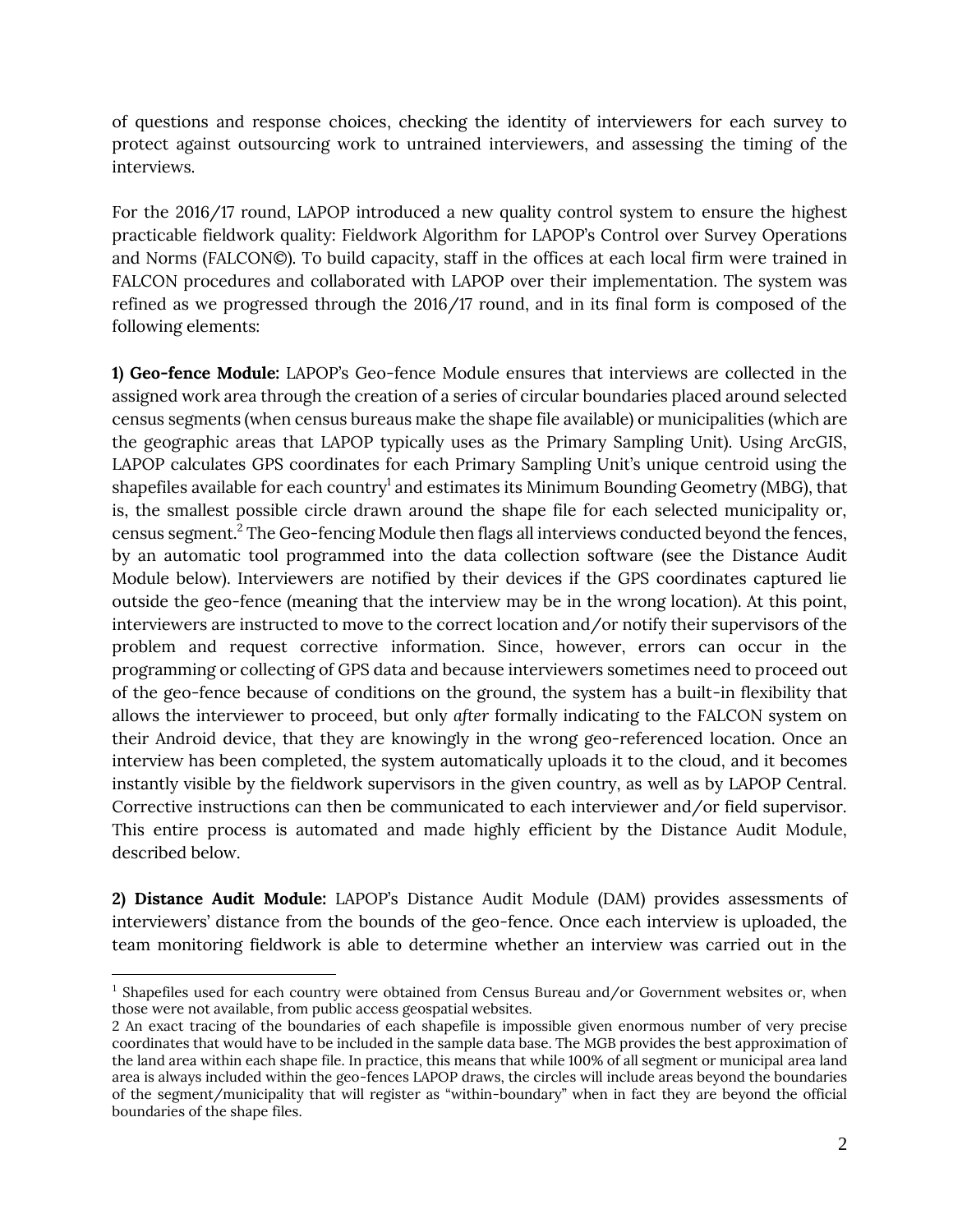of questions and response choices, checking the identity of interviewers for each survey to protect against outsourcing work to untrained interviewers, and assessing the timing of the interviews.

For the 2016/17 round, LAPOP introduced a new quality control system to ensure the highest practicable fieldwork quality: Fieldwork Algorithm for LAPOP's Control over Survey Operations and Norms (FALCON©). To build capacity, staff in the offices at each local firm were trained in FALCON procedures and collaborated with LAPOP over their implementation. The system was refined as we progressed through the 2016/17 round, and in its final form is composed of the following elements:

**1) Geo-fence Module:** LAPOP's Geo-fence Module ensures that interviews are collected in the assigned work area through the creation of a series of circular boundaries placed around selected census segments (when census bureaus make the shape file available) or municipalities (which are the geographic areas that LAPOP typically uses as the Primary Sampling Unit). Using ArcGIS, LAPOP calculates GPS coordinates for each Primary Sampling Unit's unique centroid using the shapefiles available for each country $^{\rm l}$  and estimates its Minimum Bounding Geometry (MBG), that is, the smallest possible circle drawn around the shape file for each selected municipality or, census segment.<sup>2</sup> The Geo-fencing Module then flags all interviews conducted beyond the fences, by an automatic tool programmed into the data collection software (see the Distance Audit Module below). Interviewers are notified by their devices if the GPS coordinates captured lie outside the geo-fence (meaning that the interview may be in the wrong location). At this point, interviewers are instructed to move to the correct location and/or notify their supervisors of the problem and request corrective information. Since, however, errors can occur in the programming or collecting of GPS data and because interviewers sometimes need to proceed out of the geo-fence because of conditions on the ground, the system has a built-in flexibility that allows the interviewer to proceed, but only *after* formally indicating to the FALCON system on their Android device, that they are knowingly in the wrong geo-referenced location. Once an interview has been completed, the system automatically uploads it to the cloud, and it becomes instantly visible by the fieldwork supervisors in the given country, as well as by LAPOP Central. Corrective instructions can then be communicated to each interviewer and/or field supervisor. This entire process is automated and made highly efficient by the Distance Audit Module, described below.

**2) Distance Audit Module:** LAPOP's Distance Audit Module (DAM) provides assessments of interviewers' distance from the bounds of the geo-fence. Once each interview is uploaded, the team monitoring fieldwork is able to determine whether an interview was carried out in the

l

<sup>&</sup>lt;sup>1</sup> Shapefiles used for each country were obtained from Census Bureau and/or Government websites or, when those were not available, from public access geospatial websites.

<sup>2</sup> An exact tracing of the boundaries of each shapefile is impossible given enormous number of very precise coordinates that would have to be included in the sample data base. The MGB provides the best approximation of the land area within each shape file. In practice, this means that while 100% of all segment or municipal area land area is always included within the geo-fences LAPOP draws, the circles will include areas beyond the boundaries of the segment/municipality that will register as "within-boundary" when in fact they are beyond the official boundaries of the shape files.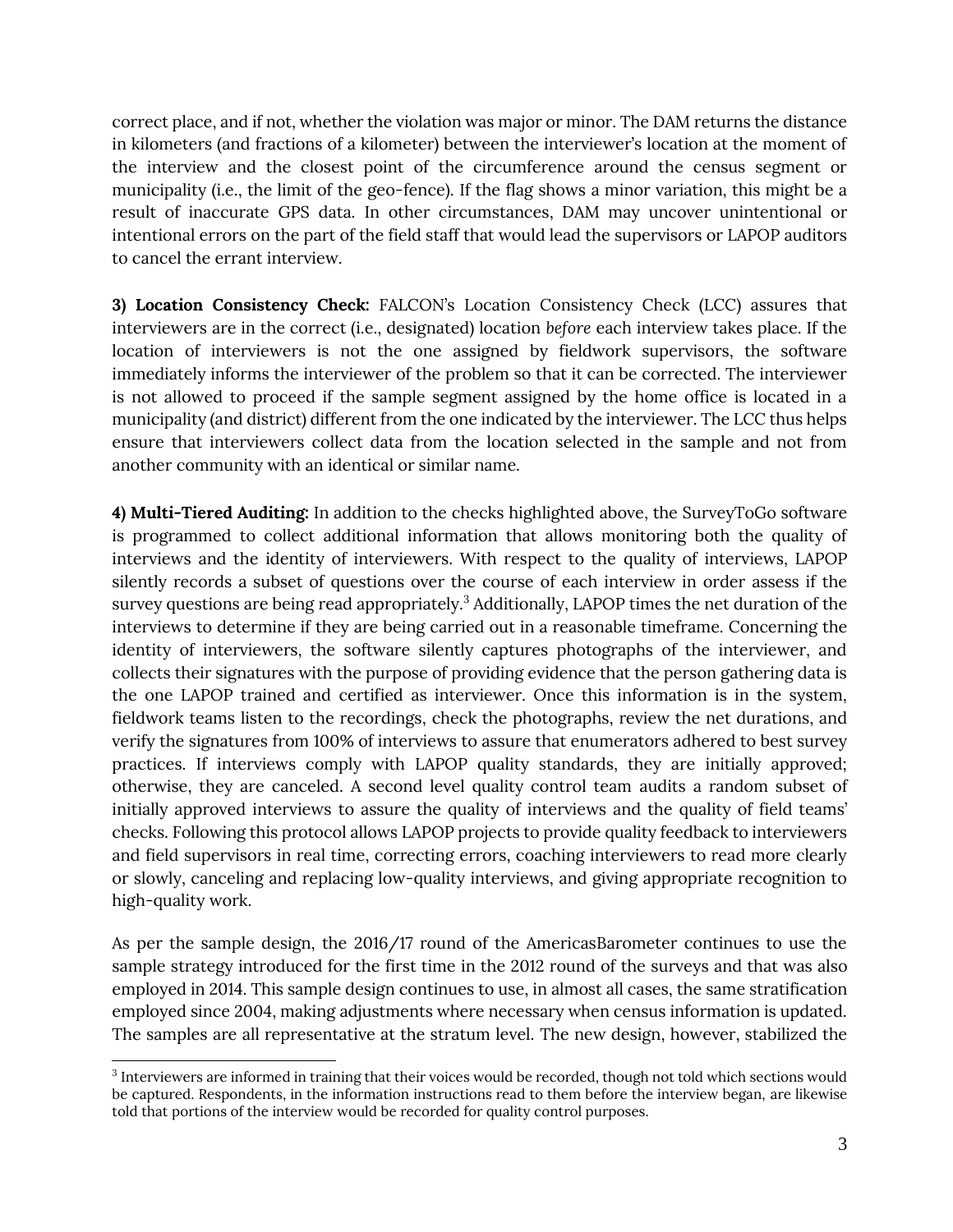correct place, and if not, whether the violation was major or minor. The DAM returns the distance in kilometers (and fractions of a kilometer) between the interviewer's location at the moment of the interview and the closest point of the circumference around the census segment or municipality (i.e., the limit of the geo-fence). If the flag shows a minor variation, this might be a result of inaccurate GPS data. In other circumstances, DAM may uncover unintentional or intentional errors on the part of the field staff that would lead the supervisors or LAPOP auditors to cancel the errant interview.

**3) Location Consistency Check:** FALCON's Location Consistency Check (LCC) assures that interviewers are in the correct (i.e., designated) location *before* each interview takes place. If the location of interviewers is not the one assigned by fieldwork supervisors, the software immediately informs the interviewer of the problem so that it can be corrected. The interviewer is not allowed to proceed if the sample segment assigned by the home office is located in a municipality (and district) different from the one indicated by the interviewer. The LCC thus helps ensure that interviewers collect data from the location selected in the sample and not from another community with an identical or similar name.

**4) Multi-Tiered Auditing:** In addition to the checks highlighted above, the SurveyToGo software is programmed to collect additional information that allows monitoring both the quality of interviews and the identity of interviewers. With respect to the quality of interviews, LAPOP silently records a subset of questions over the course of each interview in order assess if the survey questions are being read appropriately.<sup>3</sup> Additionally, LAPOP times the net duration of the interviews to determine if they are being carried out in a reasonable timeframe. Concerning the identity of interviewers, the software silently captures photographs of the interviewer, and collects their signatures with the purpose of providing evidence that the person gathering data is the one LAPOP trained and certified as interviewer. Once this information is in the system, fieldwork teams listen to the recordings, check the photographs, review the net durations, and verify the signatures from 100% of interviews to assure that enumerators adhered to best survey practices. If interviews comply with LAPOP quality standards, they are initially approved; otherwise, they are canceled. A second level quality control team audits a random subset of initially approved interviews to assure the quality of interviews and the quality of field teams' checks. Following this protocol allows LAPOP projects to provide quality feedback to interviewers and field supervisors in real time, correcting errors, coaching interviewers to read more clearly or slowly, canceling and replacing low-quality interviews, and giving appropriate recognition to high-quality work.

As per the sample design, the 2016/17 round of the AmericasBarometer continues to use the sample strategy introduced for the first time in the 2012 round of the surveys and that was also employed in 2014. This sample design continues to use, in almost all cases, the same stratification employed since 2004, making adjustments where necessary when census information is updated. The samples are all representative at the stratum level. The new design, however, stabilized the

l <sup>3</sup> Interviewers are informed in training that their voices would be recorded, though not told which sections would be captured. Respondents, in the information instructions read to them before the interview began, are likewise told that portions of the interview would be recorded for quality control purposes.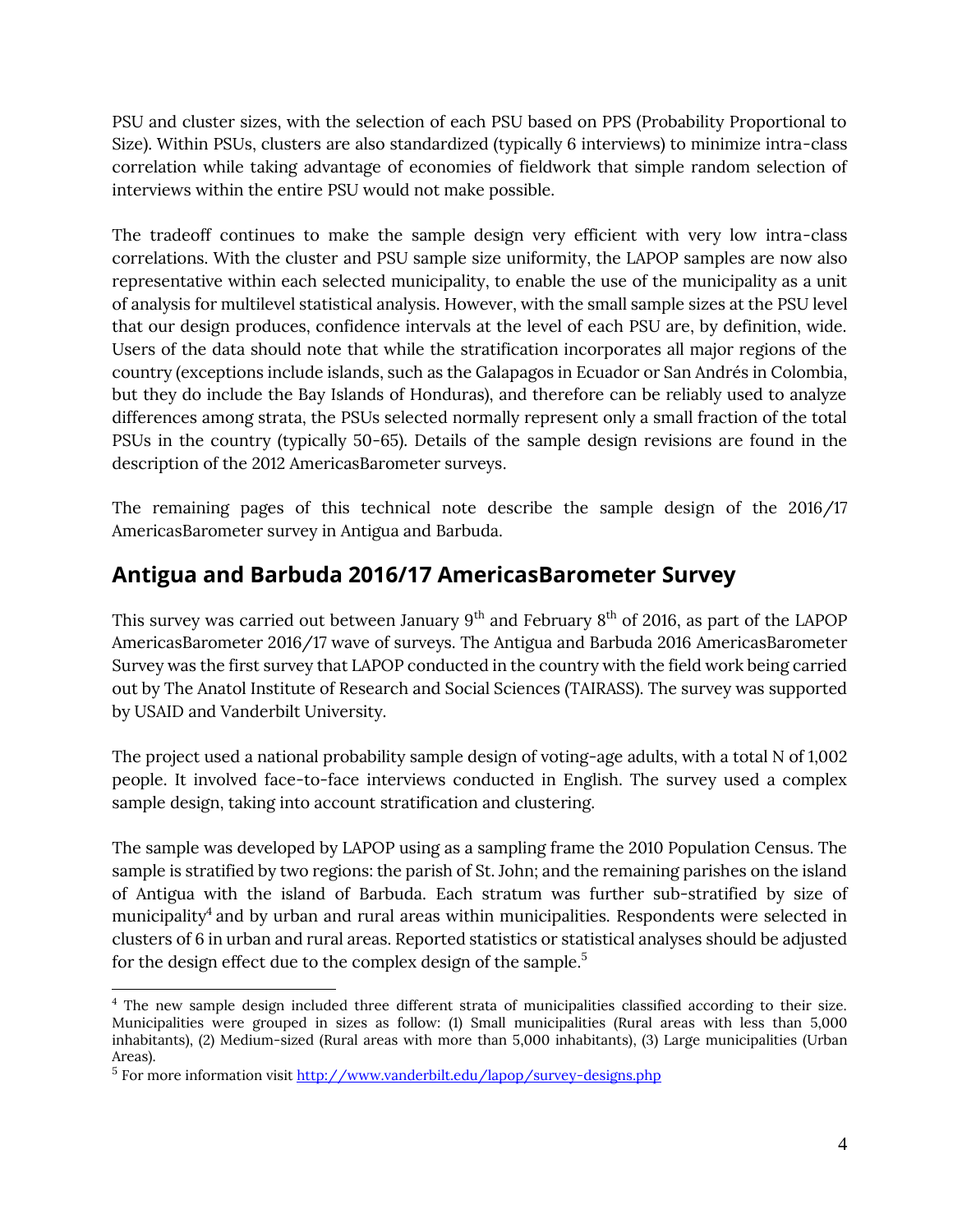PSU and cluster sizes, with the selection of each PSU based on PPS (Probability Proportional to Size). Within PSUs, clusters are also standardized (typically 6 interviews) to minimize intra-class correlation while taking advantage of economies of fieldwork that simple random selection of interviews within the entire PSU would not make possible.

The tradeoff continues to make the sample design very efficient with very low intra-class correlations. With the cluster and PSU sample size uniformity, the LAPOP samples are now also representative within each selected municipality, to enable the use of the municipality as a unit of analysis for multilevel statistical analysis. However, with the small sample sizes at the PSU level that our design produces, confidence intervals at the level of each PSU are, by definition, wide. Users of the data should note that while the stratification incorporates all major regions of the country (exceptions include islands, such as the Galapagos in Ecuador or San Andrés in Colombia, but they do include the Bay Islands of Honduras), and therefore can be reliably used to analyze differences among strata, the PSUs selected normally represent only a small fraction of the total PSUs in the country (typically 50-65). Details of the sample design revisions are found in the description of the 2012 AmericasBarometer surveys.

The remaining pages of this technical note describe the sample design of the 2016/17 AmericasBarometer survey in Antigua and Barbuda.

## **Antigua and Barbuda 2016/17 AmericasBarometer Survey**

This survey was carried out between January  $9<sup>th</sup>$  and February  $8<sup>th</sup>$  of 2016, as part of the LAPOP AmericasBarometer 2016/17 wave of surveys. The Antigua and Barbuda 2016 AmericasBarometer Survey was the first survey that LAPOP conducted in the country with the field work being carried out by The Anatol Institute of Research and Social Sciences (TAIRASS). The survey was supported by USAID and Vanderbilt University.

The project used a national probability sample design of voting-age adults, with a total N of 1,002 people. It involved face-to-face interviews conducted in English. The survey used a complex sample design, taking into account stratification and clustering.

The sample was developed by LAPOP using as a sampling frame the 2010 Population Census. The sample is stratified by two regions: the parish of St. John; and the remaining parishes on the island of Antigua with the island of Barbuda. Each stratum was further sub-stratified by size of municipality ${}^4$  and by urban and rural areas within municipalities. Respondents were selected in clusters of 6 in urban and rural areas. Reported statistics or statistical analyses should be adjusted for the design effect due to the complex design of the sample.<sup>5</sup>

 $\overline{a}$ <sup>4</sup> The new sample design included three different strata of municipalities classified according to their size. Municipalities were grouped in sizes as follow: (1) Small municipalities (Rural areas with less than 5,000 inhabitants), (2) Medium-sized (Rural areas with more than 5,000 inhabitants), (3) Large municipalities (Urban Areas).

<sup>&</sup>lt;sup>5</sup> For more information visit <u>http://www.vanderbilt.edu/lapop/survey-designs.php</u>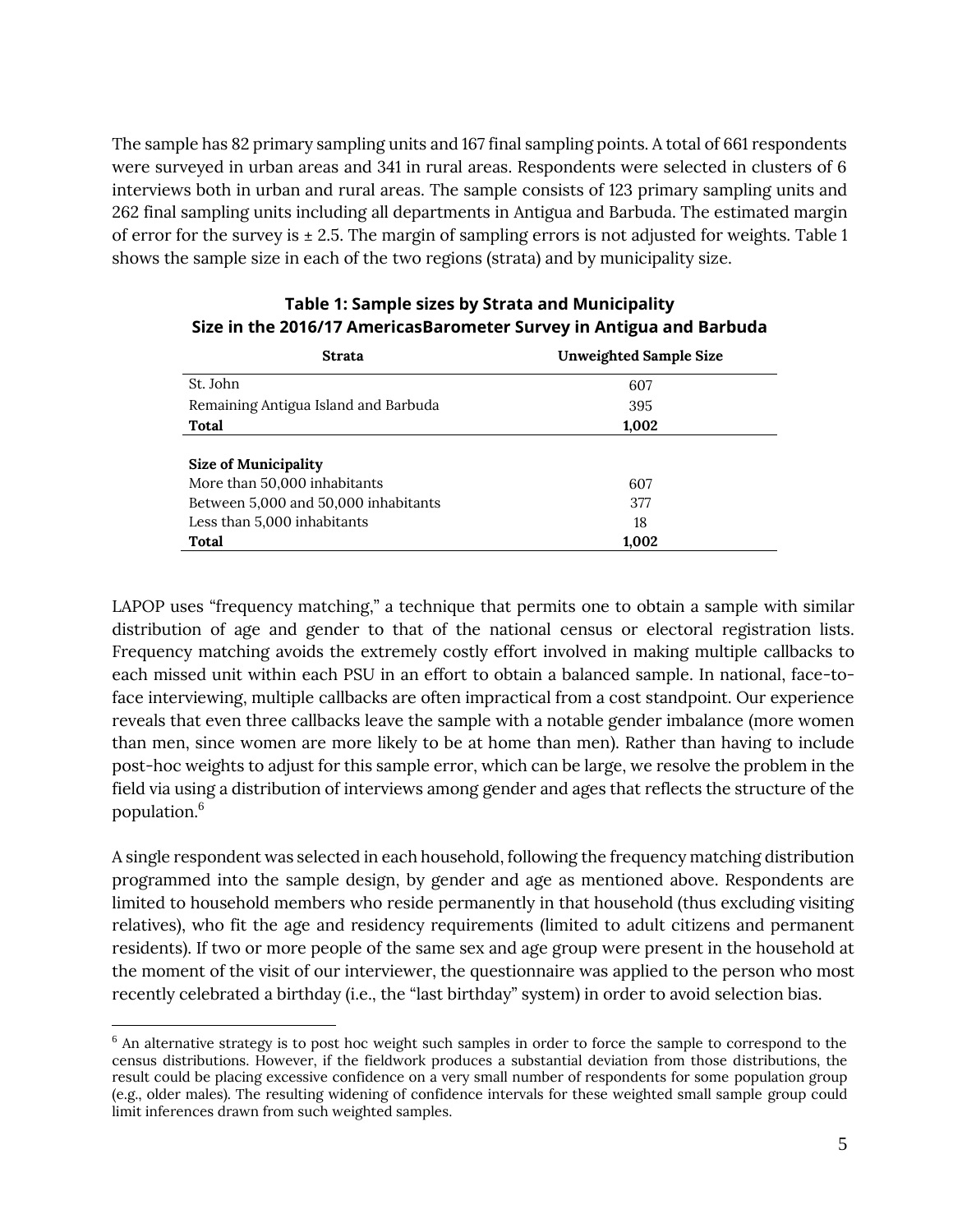The sample has 82 primary sampling units and 167 final sampling points. A total of 661 respondents were surveyed in urban areas and 341 in rural areas. Respondents were selected in clusters of 6 interviews both in urban and rural areas. The sample consists of 123 primary sampling units and 262 final sampling units including all departments in Antigua and Barbuda. The estimated margin of error for the survey is  $\pm 2.5$ . The margin of sampling errors is not adjusted for weights. Table 1 shows the sample size in each of the two regions (strata) and by municipality size.

| <b>Strata</b>                        | <b>Unweighted Sample Size</b> |  |  |
|--------------------------------------|-------------------------------|--|--|
| St. John                             | 607                           |  |  |
| Remaining Antigua Island and Barbuda | 395                           |  |  |
| Total                                | 1,002                         |  |  |
| Size of Municipality                 |                               |  |  |
| More than 50,000 inhabitants         | 607                           |  |  |
| Between 5,000 and 50,000 inhabitants | 377                           |  |  |
| Less than 5,000 inhabitants          | 18                            |  |  |
| Total                                | 1.002                         |  |  |

#### **Table 1: Sample sizes by Strata and Municipality Size in the 2016/17 AmericasBarometer Survey in Antigua and Barbuda**

LAPOP uses "frequency matching," a technique that permits one to obtain a sample with similar distribution of age and gender to that of the national census or electoral registration lists. Frequency matching avoids the extremely costly effort involved in making multiple callbacks to each missed unit within each PSU in an effort to obtain a balanced sample. In national, face-toface interviewing, multiple callbacks are often impractical from a cost standpoint. Our experience reveals that even three callbacks leave the sample with a notable gender imbalance (more women than men, since women are more likely to be at home than men). Rather than having to include post-hoc weights to adjust for this sample error, which can be large, we resolve the problem in the field via using a distribution of interviews among gender and ages that reflects the structure of the population. 6

A single respondent was selected in each household, following the frequency matching distribution programmed into the sample design, by gender and age as mentioned above. Respondents are limited to household members who reside permanently in that household (thus excluding visiting relatives), who fit the age and residency requirements (limited to adult citizens and permanent residents). If two or more people of the same sex and age group were present in the household at the moment of the visit of our interviewer, the questionnaire was applied to the person who most recently celebrated a birthday (i.e., the "last birthday" system) in order to avoid selection bias.

 $\overline{\phantom{a}}$ 

<sup>&</sup>lt;sup>6</sup> An alternative strategy is to post hoc weight such samples in order to force the sample to correspond to the census distributions. However, if the fieldwork produces a substantial deviation from those distributions, the result could be placing excessive confidence on a very small number of respondents for some population group (e.g., older males). The resulting widening of confidence intervals for these weighted small sample group could limit inferences drawn from such weighted samples.